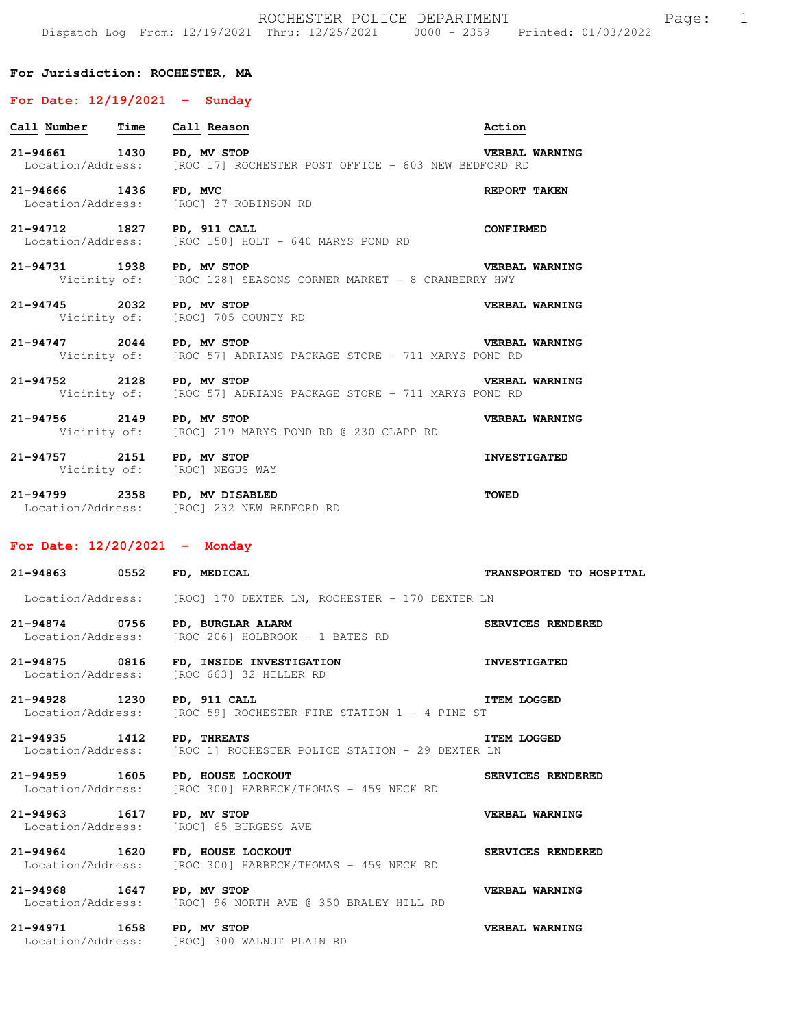## **For Jurisdiction: ROCHESTER, MA**

## **For Date: 12/19/2021 - Sunday**

| Call Number Time Call Reason |                                                                                      | Action                |
|------------------------------|--------------------------------------------------------------------------------------|-----------------------|
| 21-94661 1430                | PD, MV STOP<br>Location/Address: [ROC 17] ROCHESTER POST OFFICE - 603 NEW BEDFORD RD | VERBAL WARNING        |
| 21-94666 1436 FD, MVC        | Location/Address: [ROC] 37 ROBINSON RD                                               | REPORT TAKEN          |
| 21-94712 1827 PD, 911 CALL   | Location/Address: [ROC 150] HOLT - 640 MARYS POND RD                                 | <b>CONFIRMED</b>      |
| 21-94731 1938 PD, MV STOP    | Vicinity of: [ROC 128] SEASONS CORNER MARKET - 8 CRANBERRY HWY                       | <b>VERBAL WARNING</b> |
| 21-94745 2032 PD, MV STOP    | Vicinity of: [ROC] 705 COUNTY RD                                                     | VERBAL WARNING        |
| 21-94747 2044 PD, MV STOP    | Vicinity of: [ROC 57] ADRIANS PACKAGE STORE - 711 MARYS POND RD                      | <b>VERBAL WARNING</b> |
| 21-94752 2128 PD, MV STOP    | Vicinity of: [ROC 57] ADRIANS PACKAGE STORE - 711 MARYS POND RD                      | <b>VERBAL WARNING</b> |
| 21-94756 2149 PD, MV STOP    | Vicinity of: [ROC] 219 MARYS POND RD @ 230 CLAPP RD                                  | VERBAL WARNING        |
| 21-94757 2151 PD, MV STOP    | Vicinity of: [ROC] NEGUS WAY                                                         | <b>INVESTIGATED</b>   |
| 21-94799 2358                | PD, MV DISABLED                                                                      | <b>TOWED</b>          |

## **For Date: 12/20/2021 - Monday**

Location/Address: [ROC] 232 NEW BEDFORD RD

| 21-94863 0552 FD, MEDICAL       |                                                                                                 | TRANSPORTED TO HOSPITAL |
|---------------------------------|-------------------------------------------------------------------------------------------------|-------------------------|
|                                 | Location/Address: [ROC] 170 DEXTER LN, ROCHESTER - 170 DEXTER LN                                |                         |
|                                 | 21-94874 0756 PD, BURGLAR ALARM<br>Location/Address: [ROC 206] HOLBROOK - 1 BATES RD            | SERVICES RENDERED       |
|                                 | 21-94875 0816 FD, INSIDE INVESTIGATION 1NVESTIGATED<br>Location/Address: [ROC 663] 32 HILLER RD |                         |
| 21-94928 1230 PD, 911 CALL      | <b>EXERCISE ITEM LOGGED</b><br>Location/Address: [ROC 59] ROCHESTER FIRE STATION 1 - 4 PINE ST  |                         |
| 21-94935 1412 PD, THREATS       | Location/Address: [ROC 1] ROCHESTER POLICE STATION - 29 DEXTER LN                               | <b>ITEM LOGGED</b>      |
| 21-94959 1605 PD, HOUSE LOCKOUT | Location/Address: [ROC 300] HARBECK/THOMAS - 459 NECK RD                                        | SERVICES RENDERED       |
|                                 | 21-94963 1617 PD, MV STOP<br>Location/Address: [ROC] 65 BURGESS AVE                             | VERBAL WARNING          |
| 21-94964 1620 FD, HOUSE LOCKOUT | Location/Address: [ROC 300] HARBECK/THOMAS - 459 NECK RD                                        | SERVICES RENDERED       |
| 21-94968 1647 PD, MV STOP       | Location/Address: [ROC] 96 NORTH AVE @ 350 BRALEY HILL RD                                       | VERBAL WARNING          |
| 21-94971 1658 PD, MV STOP       | Location/Address: [ROC] 300 WALNUT PLAIN RD                                                     | VERBAL WARNING          |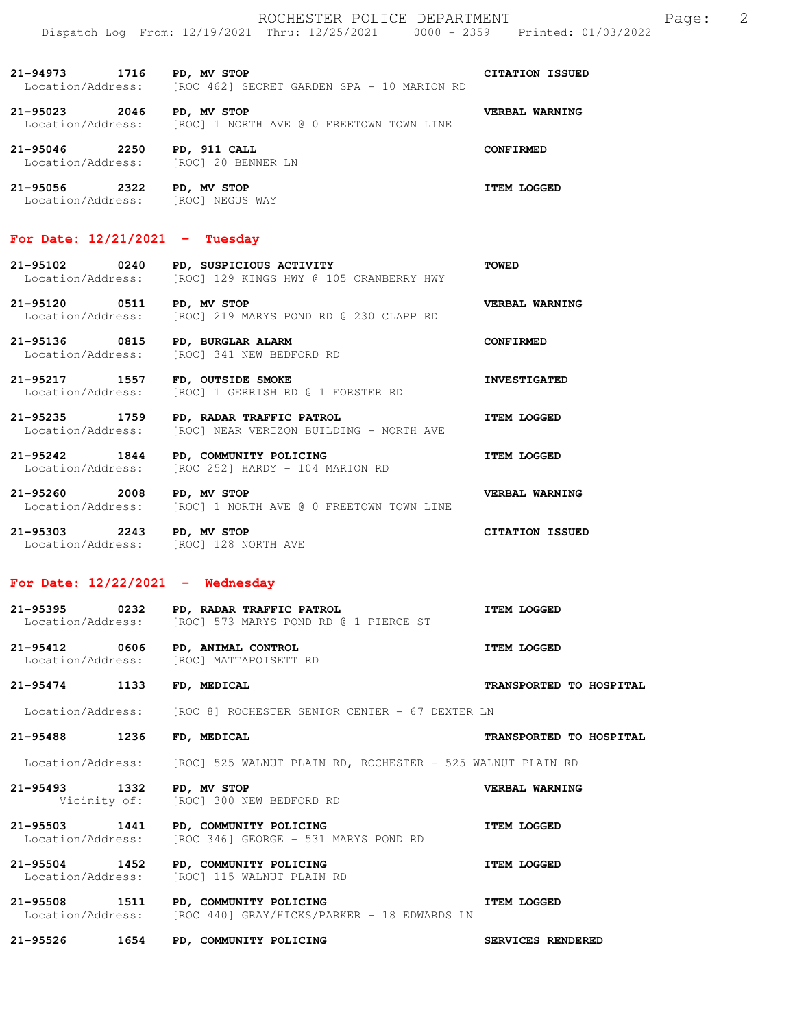ROCHESTER POLICE DEPARTMENT Page: 2 Dispatch Log From: 12/19/2021 Thru: 12/25/2021 0000 - 2359 Printed: 01/03/2022

**21-94973 1716 PD, MV STOP** CITATION ISSUED<br>Location/Address: [ROC 462] SECRET GARDEN SPA - 10 MARION RD [ROC 462] SECRET GARDEN SPA - 10 MARION RD **21-95023 2046 PD, MV STOP VERBAL WARNING**  Location/Address: [ROC] 1 NORTH AVE @ 0 FREETOWN TOWN LINE **21-95046 2250 PD, 911 CALL CONFIRMED**<br>
Location/Address: [ROC] 20 BENNER LN Location/Address: **21-95056 2322 PD, MV STOP ITEM LOGGED**  Location/Address: [ROC] NEGUS WAY

### **For Date: 12/21/2021 - Tuesday**

| 21-95102          | 0240 |  | PD, SUSPICIOUS ACTIVITY |  |                                         | <b>TOWED</b> |
|-------------------|------|--|-------------------------|--|-----------------------------------------|--------------|
| Location/Address: |      |  |                         |  | [ROC] 129 KINGS HWY @ 105 CRANBERRY HWY |              |

21-95120 0511 PD, MV STOP<br>Location/Address: [ROC] 219 MARYS POND RD @ 230 CLAPP RD [ROC] 219 MARYS POND RD @ 230 CLAPP RD

**21-95136 0815 PD, BURGLAR ALARM CONFIRMED**  [ROC] 341 NEW BEDFORD RD

**21-95217 1557 FD, OUTSIDE SMOKE INVESTIGATED**  Location/Address: [ROC] 1 GERRISH RD @ 1 FORSTER RD

**21-95235 1759 PD, RADAR TRAFFIC PATROL ITEM LOGGED**  Location/Address: [ROC] NEAR VERIZON BUILDING - NORTH AVE

**21-95242 1844 PD, COMMUNITY POLICING ITEM LOGGED**  Location/Address: [ROC 252] HARDY - 104 MARION RD

**21-95260 2008 PD, MV STOP VERBAL WARNING**  Location/Address: [ROC] 1 NORTH AVE @ 0 FREETOWN TOWN LINE

**21-95303 2243 PD, MV STOP CITATION ISSUED**  Location/Address: [ROC] 128 NORTH AVE

# **For Date: 12/22/2021 - Wednesday**

| 21-95395          | 0232 | <b>PD, RADAR TRAFFIC PATROL</b> |  |  |  |                                       |  | <b>ITEM LOGGED</b> |  |
|-------------------|------|---------------------------------|--|--|--|---------------------------------------|--|--------------------|--|
| Location/Address: |      |                                 |  |  |  | [ROC] 573 MARYS POND RD @ 1 PIERCE ST |  |                    |  |

**21-95412 0606 PD, ANIMAL CONTROL ITEM LOGGED**  Location/Address: [ROC] MATTAPOISETT RD

**21-95474 1133 FD, MEDICAL TRANSPORTED TO HOSPITAL** 

Location/Address: [ROC 8] ROCHESTER SENIOR CENTER - 67 DEXTER LN

**21-95488 1236 FD, MEDICAL TRANSPORTED TO HOSPITAL** 

Location/Address: [ROC] 525 WALNUT PLAIN RD, ROCHESTER - 525 WALNUT PLAIN RD

**21-95493 1332 PD, MV STOP VERBAL WARNING**  Vicinity of: [ROC] 300 NEW BEDFORD RD

**21-95503 1441 PD, COMMUNITY POLICING ITEM LOGGED**  Location/Address: [ROC 346] GEORGE - 531 MARYS POND RD

**21-95504 1452 PD, COMMUNITY POLICING 11-95504 ITEM LOGGED**<br>
Location/Address: [ROC] 115 WALNUT PLAIN RD [ROC] 115 WALNUT PLAIN RD

**21-95508 1511 PD, COMMUNITY POLICING ITEM LOGGED**  Location/Address: [ROC 440] GRAY/HICKS/PARKER - 18 EDWARDS LN

**21-95526 1654 PD, COMMUNITY POLICING SERVICES RENDERED**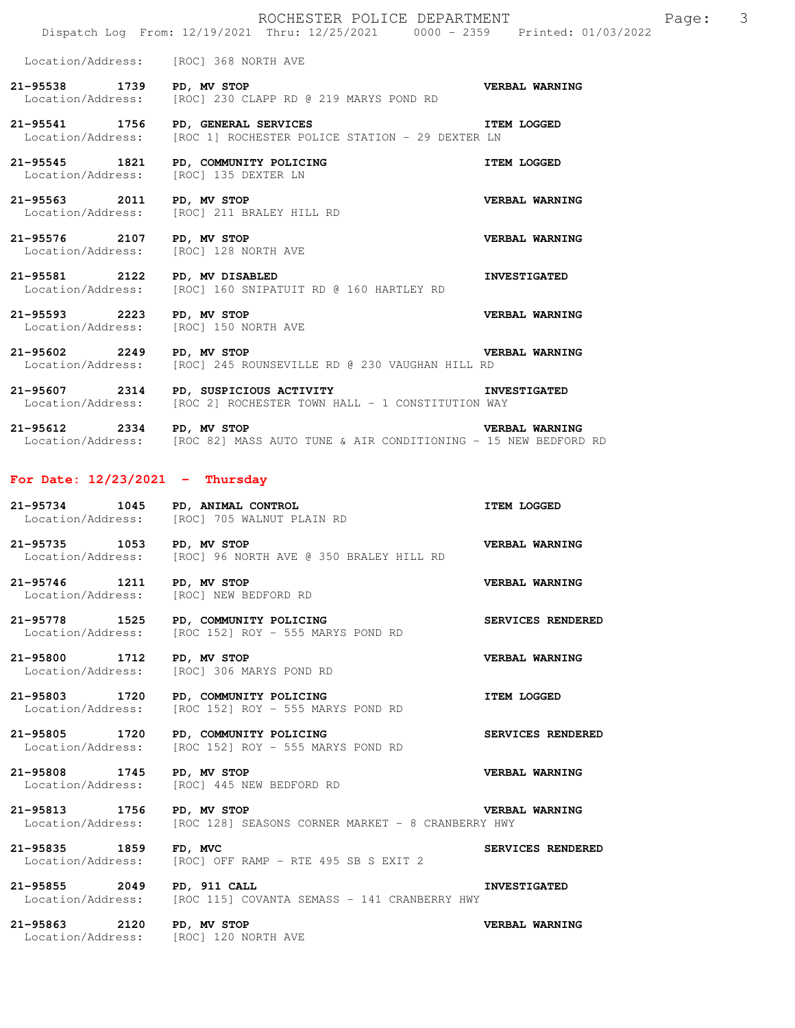Location/Address: [ROC] 368 NORTH AVE

21-95538 1739 PD, MV STOP<br>Location/Address: [ROC] 230 CLAPP RD @ 219 MARYS POND RD [ROC] 230 CLAPP RD @ 219 MARYS POND RD

**21-95541 1756 PD, GENERAL SERVICES ITEM LOGGED**<br>Location/Address: [ROC 1] ROCHESTER POLICE STATION - 29 DEXTER LN [ROC 1] ROCHESTER POLICE STATION - 29 DEXTER LN

**21-95545 1821 PD, COMMUNITY POLICING COMMUNITY POLICING ITEM LOGGED ITEM LOGGED** Location/Address:

**21-95563 2011 PD, MV STOP VERBAL WARNING**  Location/Address: [ROC] 211 BRALEY HILL RD

**21-95576 2107 PD, MV STOP VERBAL WARNING**  Location/Address: [ROC] 128 NORTH AVE

**21-95581 2122 PD, MV DISABLED INVESTIGATED**  Location/Address: [ROC] 160 SNIPATUIT RD @ 160 HARTLEY RD

**21-95593 2223 PD, MV STOP VERBAL WARNING**  Location/Address: [ROC] 150 NORTH AVE

**21-95602 2249 PD, MV STOP VERBAL WARNING**  Location/Address: [ROC] 245 ROUNSEVILLE RD @ 230 VAUGHAN HILL RD

**21-95607 2314 PD, SUSPICIOUS ACTIVITY INVESTIGATED**  Location/Address: [ROC 2] ROCHESTER TOWN HALL - 1 CONSTITUTION WAY

**21-95612 2334 PD, MV STOP VERBAL WARNING**  Location/Address: [ROC 82] MASS AUTO TUNE & AIR CONDITIONING - 15 NEW BEDFORD RD

### **For Date: 12/23/2021 - Thursday**

**21-95734 1045 PD, ANIMAL CONTROL ITEM LOGGED**  [ROC] 705 WALNUT PLAIN RD **21-95735 1053 PD, MV STOP VERBAL WARNING**  Location/Address: [ROC] 96 NORTH AVE @ 350 BRALEY HILL RD

**21-95746 1211 PD, MV STOP VERBAL WARNING**  Location/Address: [ROC] NEW BEDFORD RD

**21-95778 1525 PD, COMMUNITY POLICING SERVICES RENDERED**  Location/Address: [ROC 152] ROY - 555 MARYS POND RD

**21-95800 1712 PD, MV STOP VERBAL WARNING**  Location/Address: [ROC] 306 MARYS POND RD

21-95803 1720 PD, COMMUNITY POLICING **ITEM LOGGED** Location/Address: [ROC 152] ROY - 555 MARYS POND RD

**21-95805 1720 PD, COMMUNITY POLICING SERVICES RENDERED**  Location/Address: [ROC 152] ROY - 555 MARYS POND RD

**21-95808 1745 PD, MV STOP VERBAL WARNING**  Location/Address: [ROC] 445 NEW BEDFORD RD

**21-95813 1756 PD, MV STOP VERBAL WARNING**<br>Location/Address: [ROC 128] SEASONS CORNER MARKET - 8 CRANBERRY HWY [ROC 128] SEASONS CORNER MARKET - 8 CRANBERRY HWY

**21-95835 1859 FD, MVC SERVICES RENDERED**  Location/Address: [ROC] OFF RAMP - RTE 495 SB S EXIT 2

**21-95855 2049 PD, 911 CALL INVESTIGATED**  Location/Address: [ROC 115] COVANTA SEMASS - 141 CRANBERRY HWY

21-95863 2120 PD, MV STOP **VERBAL WARNING**<br>
Location/Address: [ROC] 120 NORTH AVE Location/Address: